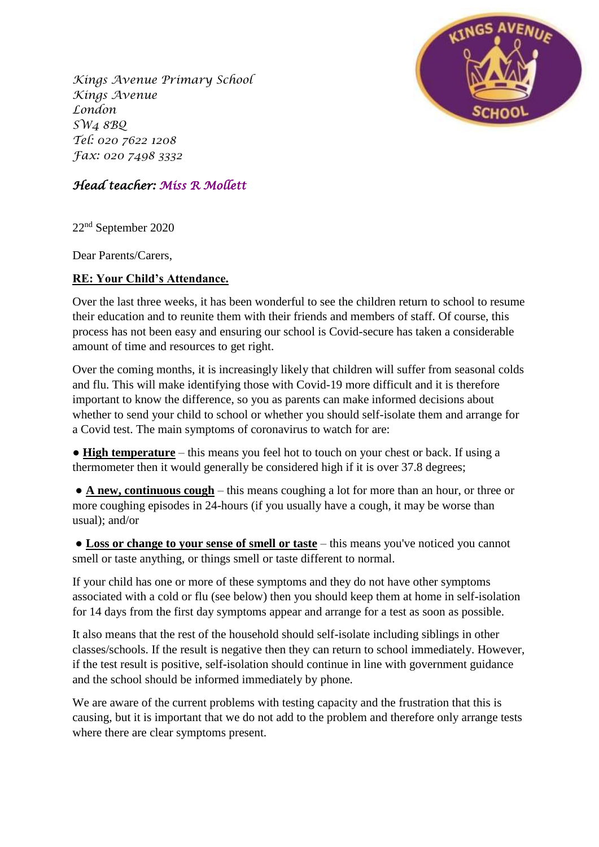*Kings Avenue Primary School Kings Avenue London SW4 8BQ Tel: 020 7622 1208 Fax: 020 7498 3332*



## *Head teacher: Miss R Mollett*

22nd September 2020

Dear Parents/Carers,

## **RE: Your Child's Attendance.**

Over the last three weeks, it has been wonderful to see the children return to school to resume their education and to reunite them with their friends and members of staff. Of course, this process has not been easy and ensuring our school is Covid-secure has taken a considerable amount of time and resources to get right.

Over the coming months, it is increasingly likely that children will suffer from seasonal colds and flu. This will make identifying those with Covid-19 more difficult and it is therefore important to know the difference, so you as parents can make informed decisions about whether to send your child to school or whether you should self-isolate them and arrange for a Covid test. The main symptoms of coronavirus to watch for are:

● **High temperature** – this means you feel hot to touch on your chest or back. If using a thermometer then it would generally be considered high if it is over 37.8 degrees;

● **A new, continuous cough** – this means coughing a lot for more than an hour, or three or more coughing episodes in 24-hours (if you usually have a cough, it may be worse than usual); and/or

● **Loss or change to your sense of smell or taste** – this means you've noticed you cannot smell or taste anything, or things smell or taste different to normal.

If your child has one or more of these symptoms and they do not have other symptoms associated with a cold or flu (see below) then you should keep them at home in self-isolation for 14 days from the first day symptoms appear and arrange for a test as soon as possible.

It also means that the rest of the household should self-isolate including siblings in other classes/schools. If the result is negative then they can return to school immediately. However, if the test result is positive, self-isolation should continue in line with government guidance and the school should be informed immediately by phone.

We are aware of the current problems with testing capacity and the frustration that this is causing, but it is important that we do not add to the problem and therefore only arrange tests where there are clear symptoms present.